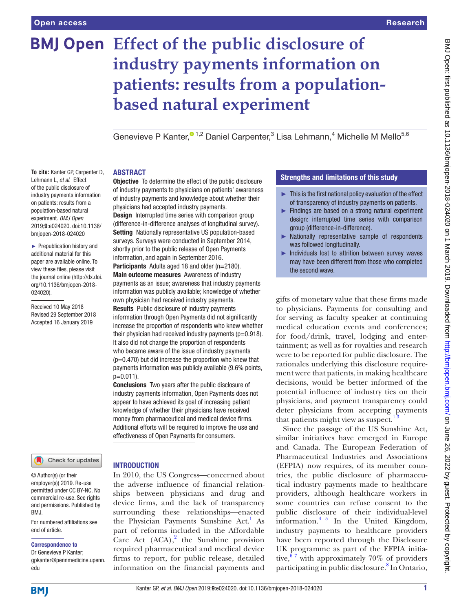# **BMJ Open** Effect of the public disclosure of **industry payments information on patients: results from a populationbased natural experiment**

**Objective** To determine the effect of the public disclosure of industry payments to physicians on patients' awareness of industry payments and knowledge about whether their

**Design** Interrupted time series with comparison group (difference-in-difference analyses of longitudinal survey). Setting Nationally representative US population-based surveys. Surveys were conducted in September 2014, shortly prior to the public release of Open Payments information, and again in September 2016. Participants Adults aged 18 and older (n=2180). Main outcome measures Awareness of industry payments as an issue; awareness that industry payments information was publicly available; knowledge of whether

physicians had accepted industry payments.

own physician had received industry payments. Results Public disclosure of industry payments information through Open Payments did not significantly increase the proportion of respondents who knew whether their physician had received industry payments ( $p=0.918$ ). It also did not change the proportion of respondents who became aware of the issue of industry payments (p=0.470) but did increase the proportion who knew that payments information was publicly available (9.6% points,

Conclusions Two years after the public disclosure of industry payments information, Open Payments does not appear to have achieved its goal of increasing patient knowledge of whether their physicians have received money from pharmaceutical and medical device firms. Additional efforts will be required to improve the use and effectiveness of Open Payments for consumers.

GenevieveP Kanter,<sup>® 1,2</sup> Daniel Carpenter,<sup>3</sup> Lisa Lehmann,<sup>4</sup> Michelle M Mello<sup>5,6</sup>

## **ABSTRACT**

**To cite:** Kanter GP, Carpenter D, Lehmann L, *et al*. Effect of the public disclosure of industry payments information on patients: results from a population-based natural experiment. *BMJ Open* 2019;9:e024020. doi:10.1136/ bmjopen-2018-024020

► Prepublication history and additional material for this paper are available online. To view these files, please visit the journal online [\(http://dx.doi.](http://dx.doi.org/10.1136/bmjopen-2018-024020) [org/10.1136/bmjopen-2018-](http://dx.doi.org/10.1136/bmjopen-2018-024020) [024020\)](http://dx.doi.org/10.1136/bmjopen-2018-024020).

Received 10 May 2018 Revised 29 September 2018 Accepted 16 January 2019

#### Check for updates

© Author(s) (or their employer(s)) 2019. Re-use permitted under CC BY-NC. No commercial re-use. See rights and permissions. Published by BMJ.

For numbered affiliations see end of article.

#### Correspondence to

Dr Genevieve P Kanter; gpkanter@pennmedicine.upenn. edu

#### **INTRODUCTION**

p=0.011).

In 2010, the US Congress—concerned about the adverse influence of financial relationships between physicians and drug and device firms, and the lack of transparency surrounding these relationships—enacted the Physician Payments Sunshine Act.<sup>[1](#page-6-0)</sup> As part of reforms included in the Affordable Care Act  $(ACA),^2$  $(ACA),^2$  the Sunshine provision required pharmaceutical and medical device firms to report, for public release, detailed information on the financial payments and

## Strengths and limitations of this study

- $\blacktriangleright$  This is the first national policy evaluation of the effect of transparency of industry payments on patients.
- ► Findings are based on a strong natural experiment design: interrupted time series with comparison group (difference-in-difference).
- ► Nationally representative sample of respondents was followed longitudinally.
- ► Individuals lost to attrition between survey waves may have been different from those who completed the second wave.

gifts of monetary value that these firms made to physicians. Payments for consulting and for serving as faculty speaker at continuing medical education events and conferences; for food/drink, travel, lodging and entertainment; as well as for royalties and research were to be reported for public disclosure. The rationales underlying this disclosure requirement were that patients, in making healthcare decisions, would be better informed of the potential influence of industry ties on their physicians, and payment transparency could deter physicians from accepting payments that patients might view as suspect.<sup>1</sup>

Since the passage of the US Sunshine Act, similar initiatives have emerged in Europe and Canada. The European Federation of Pharmaceutical Industries and Associations (EFPIA) now requires, of its member countries, the public disclosure of pharmaceutical industry payments made to healthcare providers, although healthcare workers in some countries can refuse consent to the public disclosure of their individual-level information. $4\frac{5}{1}$  In the United Kingdom, industry payments to healthcare providers have been reported through the Disclosure UK programme as part of the EFPIA initiative,  $67$  with approximately 70% of providers participating in public disclosure.<sup>8</sup> In Ontario,

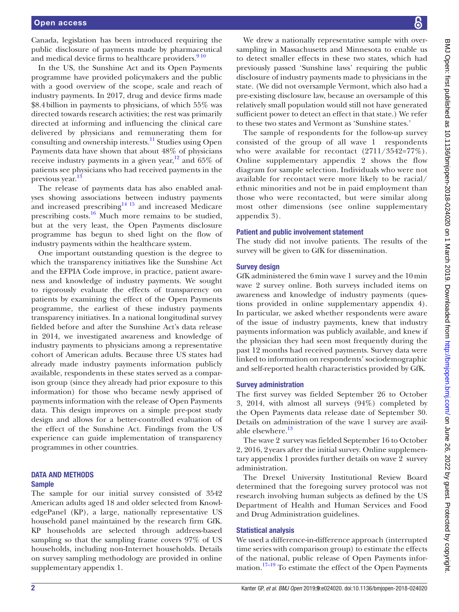#### Open access

Canada, legislation has been introduced requiring the public disclosure of payments made by pharmaceutical and medical device firms to healthcare providers.<sup>9 10</sup>

In the US, the Sunshine Act and its Open Payments programme have provided policymakers and the public with a good overview of the scope, scale and reach of industry payments. In 2017, drug and device firms made \$8.4billion in payments to physicians, of which 55% was directed towards research activities; the rest was primarily directed at informing and influencing the clinical care delivered by physicians and remunerating them for consulting and ownership interests.<sup>11</sup> Studies using Open Payments data have shown that about 48% of physicians receive industry payments in a given year,  $12$  and 65% of patients see physicians who had received payments in the previous year.<sup>[13](#page-6-8)</sup>

The release of payments data has also enabled analyses showing associations between industry payments and increased prescribing<sup>14 15</sup> and increased Medicare prescribing costs.<sup>[16](#page-6-10)</sup> Much more remains to be studied, but at the very least, the Open Payments disclosure programme has begun to shed light on the flow of industry payments within the healthcare system.

One important outstanding question is the degree to which the transparency initiatives like the Sunshine Act and the EFPIA Code improve, in practice, patient awareness and knowledge of industry payments. We sought to rigorously evaluate the effects of transparency on patients by examining the effect of the Open Payments programme, the earliest of these industry payments transparency initiatives. In a national longitudinal survey fielded before and after the Sunshine Act's data release in 2014, we investigated awareness and knowledge of industry payments to physicians among a representative cohort of American adults. Because three US states had already made industry payments information publicly available, respondents in these states served as a comparison group (since they already had prior exposure to this information) for those who became newly apprised of payments information with the release of Open Payments data. This design improves on a simple pre-post study design and allows for a better-controlled evaluation of the effect of the Sunshine Act. Findings from the US experience can guide implementation of transparency programmes in other countries.

#### DATA AND METHODS Sample

The sample for our initial survey consisted of 3542 American adults aged 18 and older selected from KnowledgePanel (KP), a large, nationally representative US household panel maintained by the research firm GfK. KP households are selected through address-based sampling so that the sampling frame covers 97% of US households, including non-Internet households. Details on survey sampling methodology are provided in online [supplementary appendix 1.](https://dx.doi.org/10.1136/bmjopen-2018-024020)

We drew a nationally representative sample with oversampling in Massachusetts and Minnesota to enable us to detect smaller effects in these two states, which had previously passed 'Sunshine laws' requiring the public disclosure of industry payments made to physicians in the state. (We did not oversample Vermont, which also had a pre-existing disclosure law, because an oversample of this relatively small population would still not have generated sufficient power to detect an effect in that state.) We refer to these two states and Vermont as 'Sunshine states.'

The sample of respondents for the follow-up survey consisted of the group of all wave 1 respondents who were available for recontact (2711/3542=77%). Online [supplementary appendix 2](https://dx.doi.org/10.1136/bmjopen-2018-024020) shows the flow diagram for sample selection. Individuals who were not available for recontact were more likely to be racial/ ethnic minorities and not be in paid employment than those who were recontacted, but were similar along most other dimensions (see online [supplementary](https://dx.doi.org/10.1136/bmjopen-2018-024020)  [appendix 3](https://dx.doi.org/10.1136/bmjopen-2018-024020)).

## Patient and public involvement statement

The study did not involve patients. The results of the survey will be given to GfK for dissemination.

## Survey design

GfK administered the 6min wave 1 survey and the 10min wave 2 survey online. Both surveys included items on awareness and knowledge of industry payments (questions provided in online [supplementary appendix 4\)](https://dx.doi.org/10.1136/bmjopen-2018-024020). In particular, we asked whether respondents were aware of the issue of industry payments, knew that industry payments information was publicly available, and knew if the physician they had seen most frequently during the past 12 months had received payments. Survey data were linked to information on respondents' sociodemographic and self-reported health characteristics provided by GfK.

#### Survey administration

The first survey was fielded September 26 to October 3, 2014, with almost all surveys (94%) completed by the Open Payments data release date of September 30. Details on administration of the wave 1 survey are available elsewhere.<sup>13</sup>

The wave 2 survey was fielded September 16 to October 2, 2016, 2years after the initial survey. Online [supplemen](https://dx.doi.org/10.1136/bmjopen-2018-024020)[tary appendix 1](https://dx.doi.org/10.1136/bmjopen-2018-024020) provides further details on wave 2 survey administration.

The Drexel University Institutional Review Board determined that the foregoing survey protocol was not research involving human subjects as defined by the US Department of Health and Human Services and Food and Drug Administration guidelines.

#### Statistical analysis

We used a difference-in-difference approach (interrupted time series with comparison group) to estimate the effects of the national, public release of Open Payments information[.17–19](#page-6-11) To estimate the effect of the Open Payments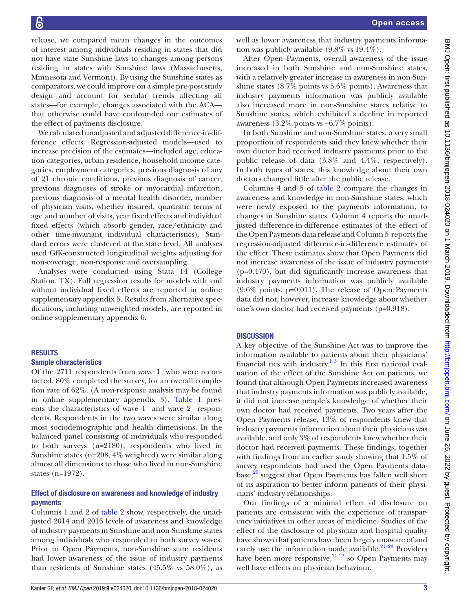release, we compared mean changes in the outcomes of interest among individuals residing in states that did not have state Sunshine laws to changes among persons residing in states with Sunshine laws (Massachusetts, Minnesota and Vermont). By using the Sunshine states as comparators, we could improve on a simple pre-post study design and account for secular trends affecting all states—for example, changes associated with the ACA that otherwise could have confounded our estimates of the effect of payments disclosure.

We calculated unadjusted and adjusted difference-in-difference effects. Regression-adjusted models—used to increase precision of the estimates—included age, education categories, urban residence, household income categories, employment categories, previous diagnosis of any of 21 chronic conditions, previous diagnosis of cancer, previous diagnoses of stroke or myocardial infarction, previous diagnosis of a mental health disorder, number of physician visits, whether insured, quadratic terms of age and number of visits, year fixed effects and individual fixed effects (which absorb gender, race/ethnicity and other time-invariant individual characteristics). Standard errors were clustered at the state level. All analyses used GfK-constructed longitudinal weights adjusting for non-coverage, non-response and oversampling.

Analyses were conducted using Stata 14 (College Station, TX). Full regression results for models with and without individual fixed effects are reported in online [supplementary appendix 5.](https://dx.doi.org/10.1136/bmjopen-2018-024020) Results from alternative specifications, including unweighted models, are reported in online [supplementary appendix 6.](https://dx.doi.org/10.1136/bmjopen-2018-024020)

#### **RESULTS**

#### Sample characteristics

Of the 2711 respondents from wave 1 who were recontacted, 80% completed the survey, for an overall completion rate of 62%. (A non-response analysis may be found in online [supplementary appendix 3](https://dx.doi.org/10.1136/bmjopen-2018-024020)). [Table](#page-3-0) 1 presents the characteristics of wave 1 and wave 2 respondents. Respondents in the two waves were similar along most sociodemographic and health dimensions. In the balanced panel consisting of individuals who responded to both surveys (n=2180), respondents who lived in Sunshine states (n=208, 4% weighted) were similar along almost all dimensions to those who lived in non-Sunshine states (n=1972).

## Effect of disclosure on awareness and knowledge of industry payments

Columns 1 and 2 of [table](#page-5-0) 2 show, respectively, the unadjusted 2014 and 2016 levels of awareness and knowledge of industry payments in Sunshine and non-Sunshine states among individuals who responded to both survey waves. Prior to Open Payments, non-Sunshine state residents had lower awareness of the issue of industry payments than residents of Sunshine states  $(45.5\% \text{ vs } 58.0\%),$  as

well as lower awareness that industry payments information was publicly available (9.8% vs 19.4%).

After Open Payments, overall awareness of the issue increased in both Sunshine and non-Sunshine states, with a relatively greater increase in awareness in non-Sunshine states (8.7% points vs 5.6% points). Awareness that industry payments information was publicly available also increased more in non-Sunshine states relative to Sunshine states, which exhibited a decline in reported awareness (3.2% points vs −6.7% points).

In both Sunshine and non-Sunshine states, a very small proportion of respondents said they knew whether their own doctor had received industry payments prior to the public release of data (3.8% and 4.4%, respectively). In both types of states, this knowledge about their own doctors changed little after the public release.

Columns 4 and 5 of [table](#page-5-0) 2 compare the changes in awareness and knowledge in non-Sunshine states, which were newly exposed to the payments information, to changes in Sunshine states. Column 4 reports the unadjusted difference-in-difference estimates of the effect of the Open Payments data release and Column 5 reports the regression-adjusted difference-in-difference estimates of the effect. These estimates show that Open Payments did not increase awareness of the issue of industry payments (p=0.470), but did significantly increase awareness that industry payments information was publicly available (9.6% points, p=0.011). The release of Open Payments data did not, however, increase knowledge about whether one's own doctor had received payments (p=0.918).

#### **DISCUSSION**

A key objective of the Sunshine Act was to improve the information available to patients about their physicians' financial ties with industry.<sup>1 3</sup> In this first national evaluation of the effect of the Sunshine Act on patients, we found that although Open Payments increased awareness that industry payments information was publicly available, it did not increase people's knowledge of whether their own doctor had received payments. Two years after the Open Payments release, 13% of respondents knew that industry payments information about their physicians was available, and only 3% of respondents knew whether their doctor had received payments. These findings, together with findings from an earlier study showing that 1.5% of survey respondents had used the Open Payments database, $20$  suggest that Open Payments has fallen well short of its aspiration to better inform patients of their physicians' industry relationships.

Our findings of a minimal effect of disclosure on patients are consistent with the experience of transparency initiatives in other areas of medicine. Studies of the effect of the disclosure of physician and hospital quality have shown that patients have been largely unaware of and rarely use the information made available.<sup>21-23</sup> Providers have been more responsive,  $2^{122}$  so Open Payments may well have effects on physician behaviour.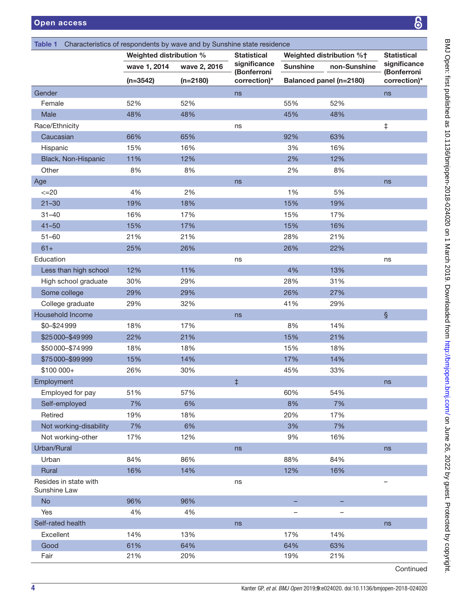BMJ Open: first published as 10.1136/bmjopen-2018-024020 on 1 March 2019. Downloaded from http://bmjopen.bmj.com/ on June 26, 2022 by guest. Protected by copyright. BMJ Open: first published as 10.1136/bmjopen-2018-024020 on 1 March 2019. Downloaded from <http://bmjopen.bmj.com/> on June 26, 2022 by guest. Protected by copyright.

<span id="page-3-0"></span>

| Characteristics of respondents by wave and by Sunshine state residence<br>Table 1 |                         |              |                             |                          |                          |                             |  |  |
|-----------------------------------------------------------------------------------|-------------------------|--------------|-----------------------------|--------------------------|--------------------------|-----------------------------|--|--|
|                                                                                   | Weighted distribution % |              | <b>Statistical</b>          | Weighted distribution %† |                          | <b>Statistical</b>          |  |  |
|                                                                                   | wave 1, 2014            | wave 2, 2016 | significance<br>(Bonferroni | <b>Sunshine</b>          | non-Sunshine             | significance<br>(Bonferroni |  |  |
|                                                                                   | $(n=3542)$              | $(n=2180)$   | correction)*                | Balanced panel (n=2180)  |                          | correction)*                |  |  |
| Gender                                                                            |                         |              | ns                          |                          |                          | ns                          |  |  |
| Female                                                                            | 52%                     | 52%          |                             | 55%                      | 52%                      |                             |  |  |
| Male                                                                              | 48%                     | 48%          |                             | 45%                      | 48%                      |                             |  |  |
| Race/Ethnicity                                                                    |                         |              | ns                          |                          |                          | ŧ                           |  |  |
| Caucasian                                                                         | 66%                     | 65%          |                             | 92%                      | 63%                      |                             |  |  |
| Hispanic                                                                          | 15%                     | 16%          |                             | 3%                       | 16%                      |                             |  |  |
| Black, Non-Hispanic                                                               | 11%                     | 12%          |                             | 2%                       | 12%                      |                             |  |  |
| Other                                                                             | 8%                      | 8%           |                             | 2%                       | 8%                       |                             |  |  |
| Age                                                                               |                         |              | ns                          |                          |                          | ns                          |  |  |
| $\leq$ 20                                                                         | 4%                      | 2%           |                             | 1%                       | 5%                       |                             |  |  |
| $21 - 30$                                                                         | 19%                     | 18%          |                             | 15%                      | 19%                      |                             |  |  |
| $31 - 40$                                                                         | 16%                     | 17%          |                             | 15%                      | 17%                      |                             |  |  |
| $41 - 50$                                                                         | 15%                     | 17%          |                             | 15%                      | 16%                      |                             |  |  |
| $51 - 60$                                                                         | 21%                     | 21%          |                             | 28%                      | 21%                      |                             |  |  |
| $61+$                                                                             | 25%                     | 26%          |                             | 26%                      | 22%                      |                             |  |  |
| Education                                                                         |                         |              | ns                          |                          |                          | ns                          |  |  |
| Less than high school                                                             | 12%                     | 11%          |                             | 4%                       | 13%                      |                             |  |  |
| High school graduate                                                              | 30%                     | 29%          |                             | 28%                      | 31%                      |                             |  |  |
| Some college                                                                      | 29%                     | 29%          |                             | 26%                      | 27%                      |                             |  |  |
| College graduate                                                                  | 29%                     | 32%          |                             | 41%                      | 29%                      |                             |  |  |
| Household Income                                                                  |                         |              | ns                          |                          |                          | $\S$                        |  |  |
| \$0-\$24999                                                                       | 18%                     | 17%          |                             | 8%                       | 14%                      |                             |  |  |
| \$25000-\$49999                                                                   | 22%                     | 21%          |                             | 15%                      | 21%                      |                             |  |  |
| \$50000-\$74999                                                                   | 18%                     | 18%          |                             | 15%                      | 18%                      |                             |  |  |
| \$75000-\$99999                                                                   | 15%                     | 14%          |                             | 17%                      | 14%                      |                             |  |  |
| \$100 000+                                                                        | 26%                     | 30%          |                             | 45%                      | 33%                      |                             |  |  |
| Employment                                                                        |                         |              | $\ddagger$                  |                          |                          | ns                          |  |  |
| Employed for pay                                                                  | 51%                     | 57%          |                             | 60%                      | 54%                      |                             |  |  |
| Self-employed                                                                     | 7%                      | 6%           |                             | 8%                       | 7%                       |                             |  |  |
| Retired                                                                           | 19%                     | 18%          |                             | 20%                      | 17%                      |                             |  |  |
| Not working-disability                                                            | 7%                      | 6%           |                             | 3%                       | 7%                       |                             |  |  |
| Not working-other                                                                 | 17%                     | 12%          |                             | 9%                       | 16%                      |                             |  |  |
| Urban/Rural                                                                       |                         |              | ns                          |                          |                          | ns                          |  |  |
| Urban                                                                             | 84%                     | 86%          |                             | 88%                      | 84%                      |                             |  |  |
| Rural                                                                             | 16%                     | 14%          |                             | 12%                      | 16%                      |                             |  |  |
| Resides in state with<br>Sunshine Law                                             |                         |              | ns                          |                          |                          |                             |  |  |
| No                                                                                | 96%                     | 96%          |                             |                          |                          |                             |  |  |
| Yes                                                                               | 4%                      | 4%           |                             |                          | $\overline{\phantom{0}}$ |                             |  |  |
| Self-rated health                                                                 |                         |              | ns                          |                          |                          | ns                          |  |  |
| Excellent                                                                         | 14%                     | 13%          |                             | 17%                      | 14%                      |                             |  |  |
| Good                                                                              | 61%                     | 64%          |                             | 64%                      | 63%                      |                             |  |  |
| Fair                                                                              | 21%                     | 20%          |                             | 19%                      | 21%                      |                             |  |  |
|                                                                                   |                         |              |                             |                          |                          |                             |  |  |

Continued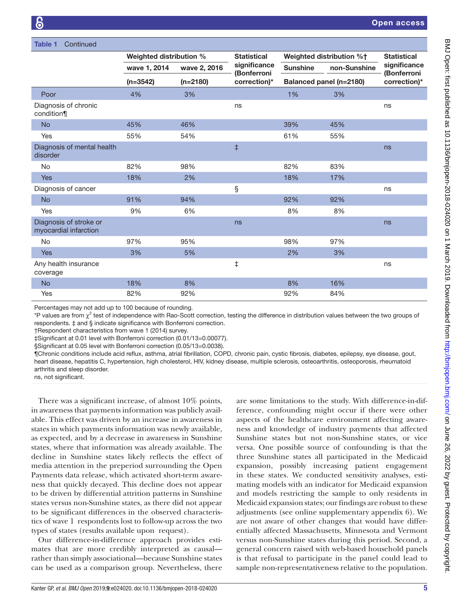Continuos

| Weighted distribution % |              | <b>Statistical</b> | Weighted distribution %†    |              | <b>Statistical</b>          |
|-------------------------|--------------|--------------------|-----------------------------|--------------|-----------------------------|
| wave 1, 2014            | wave 2, 2016 |                    | <b>Sunshine</b>             | non-Sunshine | significance<br>(Bonferroni |
| $(n=3542)$              | $(n=2180)$   | correction)*       | Balanced panel (n=2180)     |              | correction)*                |
| 4%                      | 3%           |                    | 1%                          | 3%           |                             |
|                         |              | ns                 |                             |              | ns                          |
| 45%                     | 46%          |                    | 39%                         | 45%          |                             |
| 55%                     | 54%          |                    | 61%                         | 55%          |                             |
|                         |              | $\ddagger$         |                             |              | ns                          |
| 82%                     | 98%          |                    | 82%                         | 83%          |                             |
| 18%                     | 2%           |                    | 18%                         | 17%          |                             |
|                         |              | Ş                  |                             |              | ns                          |
| 91%                     | 94%          |                    | 92%                         | 92%          |                             |
| 9%                      | 6%           |                    | 8%                          | 8%           |                             |
|                         |              | ns                 |                             |              | ns                          |
| 97%                     | 95%          |                    | 98%                         | 97%          |                             |
| 3%                      | 5%           |                    | 2%                          | 3%           |                             |
|                         |              | $\ddagger$         |                             |              | ns                          |
| 18%                     | 8%           |                    | 8%                          | 16%          |                             |
| 82%                     | 92%          |                    | 92%                         | 84%          |                             |
|                         |              |                    | significance<br>(Bonferroni |              |                             |

Percentages may not add up to 100 because of rounding.

\*P values are from  $\chi^2$  test of independence with Rao-Scott correction, testing the difference in distribution values between the two groups of respondents. ‡ and § indicate significance with Bonferroni correction.

†Respondent characteristics from wave 1 (2014) survey.

‡Significant at 0.01 level with Bonferroni correction (0.01/13=0.00077).

§Significant at 0.05 level with Bonferroni correction (0.05/13=0.0038).

¶Chronic conditions include acid reflux, asthma, atrial fibrillation, COPD, chronic pain, cystic fibrosis, diabetes, epilepsy, eye disease, gout, heart disease, hepatitis C, hypertension, high cholesterol, HIV, kidney disease, multiple sclerosis, osteoarthritis, osteoporosis, rheumatoid arthritis and sleep disorder.

ns, not significant.

There was a significant increase, of almost 10% points, in awareness that payments information was publicly available. This effect was driven by an increase in awareness in states in which payments information was newly available, as expected, and by a decrease in awareness in Sunshine states, where that information was already available. The decline in Sunshine states likely reflects the effect of media attention in the preperiod surrounding the Open Payments data release, which activated short-term awareness that quickly decayed. This decline does not appear to be driven by differential attrition patterns in Sunshine states versus non-Sunshine states, as there did not appear to be significant differences in the observed characteristics of wave 1 respondents lost to follow-up across the two types of states (results available upon request).

Our difference-in-difference approach provides estimates that are more credibly interpreted as causal rather than simply associational—because Sunshine states can be used as a comparison group. Nevertheless, there

are some limitations to the study. With difference-in-difference, confounding might occur if there were other aspects of the healthcare environment affecting awareness and knowledge of industry payments that affected Sunshine states but not non-Sunshine states, or vice versa. One possible source of confounding is that the three Sunshine states all participated in the Medicaid expansion, possibly increasing patient engagement in these states. We conducted sensitivity analyses, estimating models with an indicator for Medicaid expansion and models restricting the sample to only residents in Medicaid expansion states; our findings are robust to these adjustments (see online [supplementary appendix 6](https://dx.doi.org/10.1136/bmjopen-2018-024020)). We are not aware of other changes that would have differentially affected Massachusetts, Minnesota and Vermont versus non-Sunshine states during this period. Second, a general concern raised with web-based household panels is that refusal to participate in the panel could lead to sample non-representativeness relative to the population.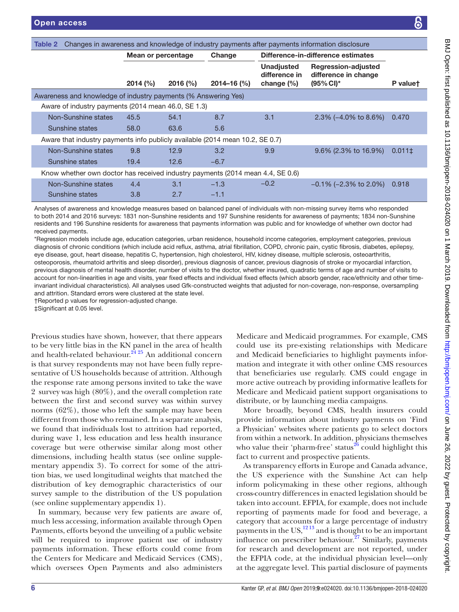<span id="page-5-0"></span>

| Changes in awareness and knowledge of industry payments after payments information disclosure<br>Table 2 |                    |          |                 |                                                      |                                                                        |             |  |  |
|----------------------------------------------------------------------------------------------------------|--------------------|----------|-----------------|------------------------------------------------------|------------------------------------------------------------------------|-------------|--|--|
|                                                                                                          | Mean or percentage |          | Change          | Difference-in-difference estimates                   |                                                                        |             |  |  |
|                                                                                                          | 2014 (%)           | 2016 (%) | $2014 - 16$ (%) | <b>Unadjusted</b><br>difference in<br>change $(\% )$ | Regression-adjusted<br>difference in change<br>$(95\% \, \text{Cl})^*$ | P valuet    |  |  |
| Awareness and knowledge of industry payments (% Answering Yes)                                           |                    |          |                 |                                                      |                                                                        |             |  |  |
| Aware of industry payments (2014 mean 46.0, SE 1.3)                                                      |                    |          |                 |                                                      |                                                                        |             |  |  |
| Non-Sunshine states                                                                                      | 45.5               | 54.1     | 8.7             | 3.1                                                  | $2.3\%$ (-4.0% to 8.6%)                                                | 0.470       |  |  |
| Sunshine states                                                                                          | 58.0               | 63.6     | 5.6             |                                                      |                                                                        |             |  |  |
| Aware that industry payments info publicly available (2014 mean 10.2, SE 0.7)                            |                    |          |                 |                                                      |                                                                        |             |  |  |
| Non-Sunshine states                                                                                      | 9.8                | 12.9     | 3.2             | 9.9                                                  | $9.6\%$ (2.3% to 16.9%)                                                | $0.011 \pm$ |  |  |
| Sunshine states                                                                                          | 19.4               | 12.6     | $-6.7$          |                                                      |                                                                        |             |  |  |
| Know whether own doctor has received industry payments (2014 mean 4.4, SE 0.6)                           |                    |          |                 |                                                      |                                                                        |             |  |  |
| Non-Sunshine states                                                                                      | 4.4                | 3.1      | $-1.3$          | $-0.2$                                               | $-0.1\%$ ( $-2.3\%$ to 2.0%)                                           | 0.918       |  |  |
| Sunshine states                                                                                          | 3.8                | 2.7      | $-1.1$          |                                                      |                                                                        |             |  |  |

Analyses of awareness and knowledge measures based on balanced panel of individuals with non-missing survey items who responded to both 2014 and 2016 surveys: 1831 non-Sunshine residents and 197 Sunshine residents for awareness of payments; 1834 non-Sunshine residents and 196 Sunshine residents for awareness that payments information was public and for knowledge of whether own doctor had received payments.

\*Regression models include age, education categories, urban residence, household income categories, employment categories, previous diagnosis of chronic conditions (which include acid reflux, asthma, atrial fibrillation, COPD, chronic pain, cystic fibrosis, diabetes, epilepsy, eye disease, gout, heart disease, hepatitis C, hypertension, high cholesterol, HIV, kidney disease, multiple sclerosis, osteoarthritis, osteoporosis, rheumatoid arthritis and sleep disorder), previous diagnosis of cancer, previous diagnosis of stroke or myocardial infarction, previous diagnosis of mental health disorder, number of visits to the doctor, whether insured, quadratic terms of age and number of visits to account for non-linearities in age and visits, year fixed effects and individual fixed effects (which absorb gender, race/ethnicity and other timeinvariant individual characteristics). All analyses used Gfk-constructed weights that adjusted for non-coverage, non-response, oversampling and attrition. Standard errors were clustered at the state level.

†Reported p values for regression-adjusted change.

‡Significant at 0.05 level.

Previous studies have shown, however, that there appears to be very little bias in the KN panel in the area of health and health-related behaviour.<sup>24</sup> <sup>25</sup> An additional concern is that survey respondents may not have been fully representative of US households because of attrition. Although the response rate among persons invited to take the wave 2 survey was high (80%), and the overall completion rate between the first and second survey was within survey norms (62%), those who left the sample may have been different from those who remained. In a separate analysis, we found that individuals lost to attrition had reported, during wave 1, less education and less health insurance coverage but were otherwise similar along most other dimensions, including health status (see online [supple](https://dx.doi.org/10.1136/bmjopen-2018-024020)[mentary appendix 3](https://dx.doi.org/10.1136/bmjopen-2018-024020)). To correct for some of the attrition bias, we used longitudinal weights that matched the distribution of key demographic characteristics of our survey sample to the distribution of the US population (see online [supplementary appendix 1](https://dx.doi.org/10.1136/bmjopen-2018-024020)).

In summary, because very few patients are aware of, much less accessing, information available through Open Payments, efforts beyond the unveiling of a public website will be required to improve patient use of industry payments information. These efforts could come from the Centers for Medicare and Medicaid Services (CMS), which oversees Open Payments and also administers

Medicare and Medicaid programmes. For example, CMS could use its pre-existing relationships with Medicare and Medicaid beneficiaries to highlight payments information and integrate it with other online CMS resources that beneficiaries use regularly. CMS could engage in more active outreach by providing informative leaflets for Medicare and Medicaid patient support organisations to distribute, or by launching media campaigns.

More broadly, beyond CMS, health insurers could provide information about industry payments on 'Find a Physician' websites where patients go to select doctors from within a network. In addition, physicians themselves who value their 'pharm-free' status $^{26}$  could highlight this fact to current and prospective patients.

As transparency efforts in Europe and Canada advance, the US experience with the Sunshine Act can help inform policymaking in these other regions, although cross-country differences in enacted legislation should be taken into account. EFPIA, for example, does not include reporting of payments made for food and beverage, a category that accounts for a large percentage of industry payments in the US, $^{1213}$  and is thought to be an important influence on prescriber behaviour.<sup>27</sup> Similarly, payments for research and development are not reported, under the EFPIA code, at the individual physician level—only at the aggregate level. This partial disclosure of payments